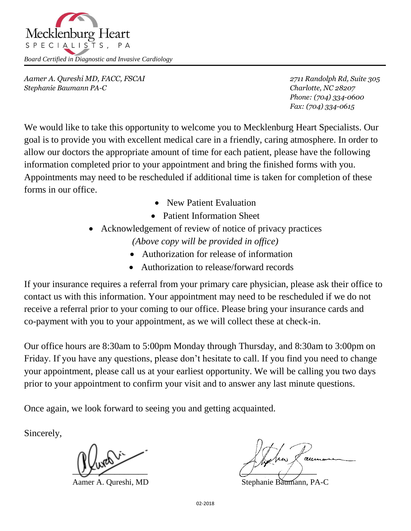

*Phone: (704) 334-0600 Fax: (704) 334-0615*

We would like to take this opportunity to welcome you to Mecklenburg Heart Specialists. Our goal is to provide you with excellent medical care in a friendly, caring atmosphere. In order to allow our doctors the appropriate amount of time for each patient, please have the following information completed prior to your appointment and bring the finished forms with you. Appointments may need to be rescheduled if additional time is taken for completion of these forms in our office.

- New Patient Evaluation
- Patient Information Sheet
- Acknowledgement of review of notice of privacy practices *(Above copy will be provided in office)*
	- Authorization for release of information
	- Authorization to release/forward records

If your insurance requires a referral from your primary care physician, please ask their office to contact us with this information. Your appointment may need to be rescheduled if we do not receive a referral prior to your coming to our office. Please bring your insurance cards and co-payment with you to your appointment, as we will collect these at check-in.

Our office hours are 8:30am to 5:00pm Monday through Thursday, and 8:30am to 3:00pm on Friday. If you have any questions, please don't hesitate to call. If you find you need to change your appointment, please call us at your earliest opportunity. We will be calling you two days prior to your appointment to confirm your visit and to answer any last minute questions.

Once again, we look forward to seeing you and getting acquainted.

Sincerely,

へへ  $\left($   $\frac{1}{2}$   $\left($   $\frac{1}{2}$   $\frac{1}{2}$   $\left($   $\frac{1}{2}$   $\frac{1}{2}$   $\frac{1}{2}$   $\frac{1}{2}$   $\frac{1}{2}$   $\frac{1}{2}$   $\frac{1}{2}$   $\frac{1}{2}$   $\frac{1}{2}$   $\frac{1}{2}$   $\frac{1}{2}$   $\frac{1}{2}$   $\frac{1}{2}$   $\frac{1}{2}$   $\frac{1}{2}$   $\frac{1}{2}$   $\frac{1}{2}$   $\frac$ 

Aamer A. Qureshi, MD Stephanie Baumann, PA-C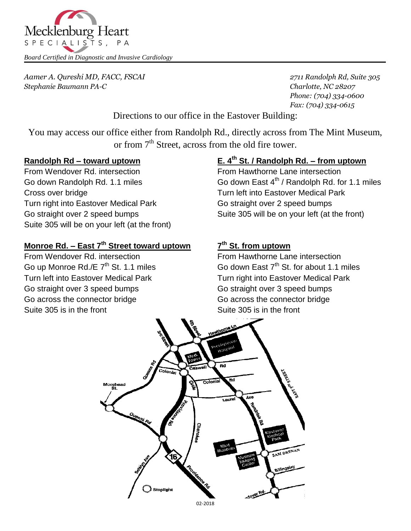

*Phone: (704) 334-0600 Fax: (704) 334-0615*

Directions to our office in the Eastover Building:

You may access our office either from Randolph Rd., directly across from The Mint Museum, or from  $7<sup>th</sup>$  Street, across from the old fire tower.

From Wendover Rd. intersection From Hawthorne Lane intersection Cross over bridge Turn left into Eastover Medical Park Turn right into Eastover Medical Park Go straight over 2 speed bumps Go straight over 2 speed bumps Suite 305 will be on your left (at the front) Suite 305 will be on your left (at the front)

# **Monroe Rd. – East 7th Street toward uptown 7**

Go straight over 3 speed bumps Go straight over 3 speed bumps Go across the connector bridge Go across the connector bridge Suite 305 is in the front Suite 305 is in the front

# **Randolph Rd – toward uptown E. 4th St. / Randolph Rd. – from uptown**

Go down Randolph Rd. 1.1 miles  $\qquad \qquad$  Go down East  $4^{th}$  / Randolph Rd. for 1.1 miles

# **th St. from uptown**

From Wendover Rd. intersection From Hawthorne Lane intersection Go up Monroe Rd./E  $7^{th}$  St. 1.1 miles Go down East  $7^{th}$  St. for about 1.1 miles Turn left into Eastover Medical Park Turn right into Eastover Medical Park



02-2018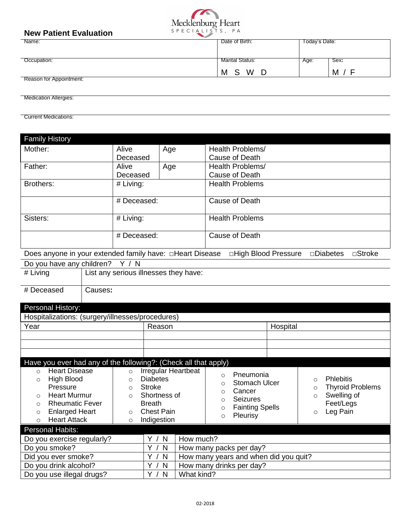

## **New Patient Evaluation**

| $-$                    |                                 |                       |
|------------------------|---------------------------------|-----------------------|
|                        |                                 |                       |
|                        |                                 |                       |
|                        |                                 |                       |
|                        |                                 |                       |
| <b>Marital Status:</b> |                                 | Sex:                  |
|                        |                                 |                       |
|                        |                                 |                       |
|                        |                                 | M                     |
|                        |                                 |                       |
|                        | Date of Birth:<br>W D<br>M<br>S | Today's Date:<br>Age: |

**Medication Allergies:** 

Current Medications:

| <b>Family History</b>                                                                                |                       |                                       |                            |                                                                        |                                   |                                     |                             |                         |
|------------------------------------------------------------------------------------------------------|-----------------------|---------------------------------------|----------------------------|------------------------------------------------------------------------|-----------------------------------|-------------------------------------|-----------------------------|-------------------------|
| Mother:                                                                                              |                       | Alive                                 | Age                        |                                                                        | Health Problems/                  |                                     |                             |                         |
|                                                                                                      |                       | Deceased                              |                            |                                                                        | Cause of Death                    |                                     |                             |                         |
| Father:                                                                                              |                       | Alive                                 | Age                        |                                                                        | Health Problems/                  |                                     |                             |                         |
|                                                                                                      |                       | Deceased                              |                            |                                                                        | Cause of Death                    |                                     |                             |                         |
| <b>Brothers:</b>                                                                                     |                       | # Living:                             |                            |                                                                        | <b>Health Problems</b>            |                                     |                             |                         |
|                                                                                                      |                       |                                       |                            |                                                                        |                                   |                                     |                             |                         |
|                                                                                                      |                       | # Deceased:                           |                            |                                                                        | Cause of Death                    |                                     |                             |                         |
|                                                                                                      |                       |                                       |                            |                                                                        |                                   |                                     |                             |                         |
| Sisters:                                                                                             |                       | # Living:                             |                            |                                                                        | <b>Health Problems</b>            |                                     |                             |                         |
|                                                                                                      |                       |                                       |                            |                                                                        | Cause of Death                    |                                     |                             |                         |
|                                                                                                      |                       | # Deceased:                           |                            |                                                                        |                                   |                                     |                             |                         |
| Does anyone in your extended family have: <b>DHeart Disease</b>                                      |                       |                                       |                            |                                                                        | □High Blood Pressure              |                                     | $\square$ Diabetes          | □Stroke                 |
| Do you have any children?                                                                            |                       | Y / N                                 |                            |                                                                        |                                   |                                     |                             |                         |
| # Living                                                                                             |                       | List any serious illnesses they have: |                            |                                                                        |                                   |                                     |                             |                         |
|                                                                                                      |                       |                                       |                            |                                                                        |                                   |                                     |                             |                         |
| # Deceased                                                                                           | Causes:               |                                       |                            |                                                                        |                                   |                                     |                             |                         |
|                                                                                                      |                       |                                       |                            |                                                                        |                                   |                                     |                             |                         |
| Personal History:                                                                                    |                       |                                       |                            |                                                                        |                                   |                                     |                             |                         |
| Hospitalizations: (surgery/illnesses/procedures)                                                     |                       |                                       |                            |                                                                        |                                   |                                     |                             |                         |
| Year                                                                                                 |                       |                                       | Reason                     |                                                                        |                                   | Hospital                            |                             |                         |
|                                                                                                      |                       |                                       |                            |                                                                        |                                   |                                     |                             |                         |
|                                                                                                      |                       |                                       |                            |                                                                        |                                   |                                     |                             |                         |
|                                                                                                      |                       |                                       |                            |                                                                        |                                   |                                     |                             |                         |
| Have you ever had any of the following?: (Check all that apply)                                      |                       |                                       |                            |                                                                        |                                   |                                     |                             |                         |
| <b>Heart Disease</b><br>$\circ$                                                                      |                       | $\circ$                               | <b>Irregular Heartbeat</b> |                                                                        | Pneumonia<br>$\circ$              |                                     |                             |                         |
| High Blood<br>$\circ$                                                                                |                       | <b>Diabetes</b><br>$\Omega$           |                            |                                                                        | Stomach Ulcer<br>$\circ$          |                                     | <b>Phlebitis</b><br>$\circ$ |                         |
| Pressure                                                                                             |                       | <b>Stroke</b><br>$\Omega$             |                            |                                                                        | Cancer<br>$\circ$                 |                                     | $\circ$                     | <b>Thyroid Problems</b> |
| <b>Heart Murmur</b><br>Shortness of<br>$\circ$<br>$\circ$<br><b>Rheumatic Fever</b><br><b>Breath</b> |                       |                                       |                            | <b>Seizures</b><br>$\circ$                                             |                                   | Swelling of<br>$\circ$<br>Feet/Legs |                             |                         |
| $\circ$<br><b>Enlarged Heart</b>                                                                     |                       |                                       | <b>Chest Pain</b>          |                                                                        | <b>Fainting Spells</b><br>$\circ$ |                                     |                             |                         |
| $\circ$<br><b>Heart Attack</b><br>$\circ$                                                            |                       | $\circ$<br>$\circ$                    | Indigestion                |                                                                        | Pleurisy<br>$\circ$               |                                     | Leg Pain<br>$\circ$         |                         |
| Personal Habits:                                                                                     |                       |                                       |                            |                                                                        |                                   |                                     |                             |                         |
|                                                                                                      |                       |                                       | Y / N                      | How much?                                                              |                                   |                                     |                             |                         |
| Do you exercise regularly?<br>Do you smoke?                                                          |                       | $\overline{\mathsf{Y}}$               | $\overline{\mathsf{N}}$    |                                                                        | How many packs per day?           |                                     |                             |                         |
| Did you ever smoke?                                                                                  | Υ                     |                                       |                            |                                                                        |                                   |                                     |                             |                         |
|                                                                                                      | Do you drink alcohol? |                                       |                            | How many years and when did you quit?<br>N<br>How many drinks per day? |                                   |                                     |                             |                         |
| Do you use illegal drugs?                                                                            |                       | Y<br>Y                                | N<br>$\mathsf{N}$          | What kind?                                                             |                                   |                                     |                             |                         |
|                                                                                                      |                       |                                       |                            |                                                                        |                                   |                                     |                             |                         |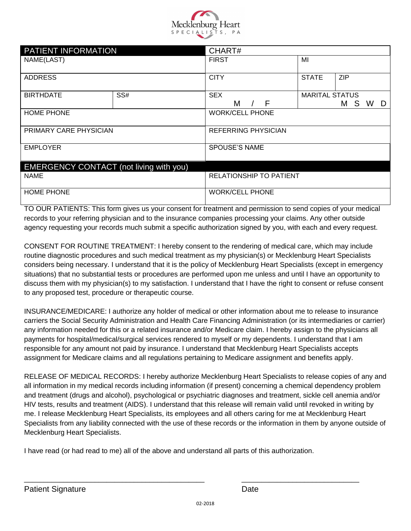

| <b>PATIENT INFORMATION</b>                     |     | CHART#                         |                       |            |  |         |  |
|------------------------------------------------|-----|--------------------------------|-----------------------|------------|--|---------|--|
| NAME(LAST)                                     |     | <b>FIRST</b>                   | MI                    |            |  |         |  |
| <b>ADDRESS</b>                                 |     | <b>CITY</b>                    | <b>STATE</b>          | <b>ZIP</b> |  |         |  |
| <b>BIRTHDATE</b>                               | SS# | <b>SEX</b>                     | <b>MARITAL STATUS</b> |            |  |         |  |
|                                                |     | / F<br>М                       |                       |            |  | M S W D |  |
| <b>HOME PHONE</b>                              |     | <b>WORK/CELL PHONE</b>         |                       |            |  |         |  |
| PRIMARY CARE PHYSICIAN                         |     | <b>REFERRING PHYSICIAN</b>     |                       |            |  |         |  |
| <b>EMPLOYER</b>                                |     | <b>SPOUSE'S NAME</b>           |                       |            |  |         |  |
| <b>EMERGENCY CONTACT</b> (not living with you) |     |                                |                       |            |  |         |  |
| <b>NAME</b>                                    |     | <b>RELATIONSHIP TO PATIENT</b> |                       |            |  |         |  |
| <b>HOME PHONE</b>                              |     | <b>WORK/CELL PHONE</b>         |                       |            |  |         |  |

TO OUR PATIENTS: This form gives us your consent for treatment and permission to send copies of your medical records to your referring physician and to the insurance companies processing your claims. Any other outside agency requesting your records much submit a specific authorization signed by you, with each and every request.

CONSENT FOR ROUTINE TREATMENT: I hereby consent to the rendering of medical care, which may include routine diagnostic procedures and such medical treatment as my physician(s) or Mecklenburg Heart Specialists considers being necessary. I understand that it is the policy of Mecklenburg Heart Specialists (except in emergency situations) that no substantial tests or procedures are performed upon me unless and until I have an opportunity to discuss them with my physician(s) to my satisfaction. I understand that I have the right to consent or refuse consent to any proposed test, procedure or therapeutic course.

INSURANCE/MEDICARE: I authorize any holder of medical or other information about me to release to insurance carriers the Social Security Administration and Health Care Financing Administration (or its intermediaries or carrier) any information needed for this or a related insurance and/or Medicare claim. I hereby assign to the physicians all payments for hospital/medical/surgical services rendered to myself or my dependents. I understand that I am responsible for any amount not paid by insurance. I understand that Mecklenburg Heart Specialists accepts assignment for Medicare claims and all regulations pertaining to Medicare assignment and benefits apply.

RELEASE OF MEDICAL RECORDS: I hereby authorize Mecklenburg Heart Specialists to release copies of any and all information in my medical records including information (if present) concerning a chemical dependency problem and treatment (drugs and alcohol), psychological or psychiatric diagnoses and treatment, sickle cell anemia and/or HIV tests, results and treatment (AIDS). I understand that this release will remain valid until revoked in writing by me. I release Mecklenburg Heart Specialists, its employees and all others caring for me at Mecklenburg Heart Specialists from any liability connected with the use of these records or the information in them by anyone outside of Mecklenburg Heart Specialists.

I have read (or had read to me) all of the above and understand all parts of this authorization.

 $\_$  ,  $\_$  ,  $\_$  ,  $\_$  ,  $\_$  ,  $\_$  ,  $\_$  ,  $\_$  ,  $\_$  ,  $\_$  ,  $\_$  ,  $\_$  ,  $\_$  ,  $\_$  ,  $\_$  ,  $\_$  ,  $\_$  ,  $\_$  ,  $\_$  ,  $\_$  ,  $\_$  ,  $\_$  ,  $\_$  ,  $\_$  ,  $\_$  ,  $\_$  ,  $\_$  ,  $\_$  ,  $\_$  ,  $\_$  ,  $\_$  ,  $\_$  ,  $\_$  ,  $\_$  ,  $\_$  ,  $\_$  ,  $\_$  ,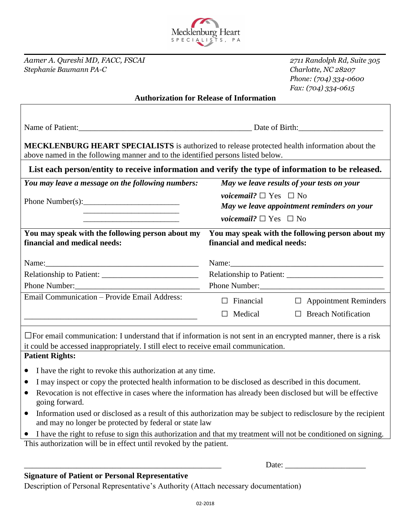

*Phone: (704) 334-0600 Fax: (704) 334-0615*

٦

\_\_\_\_\_\_\_\_\_\_\_\_\_\_\_\_\_\_\_\_\_\_\_\_\_\_\_\_\_\_\_\_\_\_\_\_\_\_\_\_\_\_\_\_\_\_\_\_\_ Date: \_\_\_\_\_\_\_\_\_\_\_\_\_\_\_\_\_\_\_\_

### **Authorization for Release of Information**

|                                                                                                                    | Name of Patient:<br>Name of Patient:                                                                                 |  |  |  |
|--------------------------------------------------------------------------------------------------------------------|----------------------------------------------------------------------------------------------------------------------|--|--|--|
| MECKLENBURG HEART SPECIALISTS is authorized to release protected health information about the                      |                                                                                                                      |  |  |  |
| above named in the following manner and to the identified persons listed below.                                    |                                                                                                                      |  |  |  |
| List each person/entity to receive information and verify the type of information to be released.                  |                                                                                                                      |  |  |  |
| You may leave a message on the following numbers:                                                                  | May we leave results of your tests on your                                                                           |  |  |  |
| Phone Number(s): $\frac{1}{2}$                                                                                     | <i>voicemail?</i> $\Box$ Yes $\Box$ No                                                                               |  |  |  |
|                                                                                                                    | May we leave appointment reminders on your                                                                           |  |  |  |
|                                                                                                                    | <i>voicemail?</i> $\Box$ Yes $\Box$ No                                                                               |  |  |  |
| You may speak with the following person about my<br>financial and medical needs:                                   | You may speak with the following person about my<br>financial and medical needs:                                     |  |  |  |
|                                                                                                                    |                                                                                                                      |  |  |  |
|                                                                                                                    |                                                                                                                      |  |  |  |
|                                                                                                                    | Phone Number:                                                                                                        |  |  |  |
| Email Communication – Provide Email Address:                                                                       | $\Box$ Financial<br>$\Box$ Appointment Reminders                                                                     |  |  |  |
|                                                                                                                    | Medical<br><b>Breach Notification</b><br>$\perp$<br>$\Box$                                                           |  |  |  |
| it could be accessed inappropriately. I still elect to receive email communication.                                | $\Box$ For email communication: I understand that if information is not sent in an encrypted manner, there is a risk |  |  |  |
| <b>Patient Rights:</b>                                                                                             |                                                                                                                      |  |  |  |
| I have the right to revoke this authorization at any time.<br>$\bullet$                                            |                                                                                                                      |  |  |  |
| I may inspect or copy the protected health information to be disclosed as described in this document.<br>$\bullet$ |                                                                                                                      |  |  |  |
| going forward.                                                                                                     | Revocation is not effective in cases where the information has already been disclosed but will be effective          |  |  |  |
| $\bullet$<br>and may no longer be protected by federal or state law                                                | Information used or disclosed as a result of this authorization may be subject to redisclosure by the recipient      |  |  |  |
|                                                                                                                    | I have the right to refuse to sign this authorization and that my treatment will not be conditioned on signing.      |  |  |  |
| This authorization will be in effect until revoked by the patient.                                                 |                                                                                                                      |  |  |  |

## **Signature of Patient or Personal Representative**

Description of Personal Representative's Authority (Attach necessary documentation)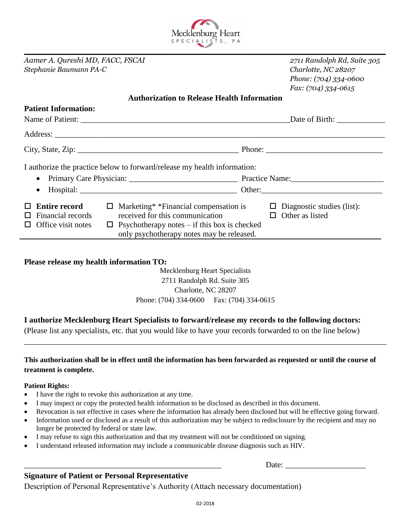

*Phone: (704) 334-0600 Fax: (704) 334-0615*

#### **Authorization to Release Health Information**

| <b>Patient Information:</b>                                                             |                                                                                                                                                                                                                       |                        |  |  |
|-----------------------------------------------------------------------------------------|-----------------------------------------------------------------------------------------------------------------------------------------------------------------------------------------------------------------------|------------------------|--|--|
|                                                                                         |                                                                                                                                                                                                                       | Date of Birth:         |  |  |
|                                                                                         |                                                                                                                                                                                                                       |                        |  |  |
|                                                                                         |                                                                                                                                                                                                                       |                        |  |  |
|                                                                                         | I authorize the practice below to forward/release my health information:                                                                                                                                              |                        |  |  |
|                                                                                         |                                                                                                                                                                                                                       |                        |  |  |
| $\bullet$                                                                               |                                                                                                                                                                                                                       |                        |  |  |
| <b>Entire record</b><br>$\Box$<br>$\Box$ Financial records<br>$\Box$ Office visit notes | $\Box$ Marketing* *Financial compensation is $\Box$ Diagnostic studies (list):<br>received for this communication<br>$\Box$ Psychotherapy notes – if this box is checked<br>only psychotherapy notes may be released. | $\Box$ Other as listed |  |  |

#### **Please release my health information TO:**

Mecklenburg Heart Specialists 2711 Randolph Rd. Suite 305 Charlotte, NC 28207 Phone: (704) 334-0600 Fax: (704) 334-0615

#### **I authorize Mecklenburg Heart Specialists to forward/release my records to the following doctors:**

(Please list any specialists, etc. that you would like to have your records forwarded to on the line below)

#### **This authorization shall be in effect until the information has been forwarded as requested or until the course of treatment is complete.**

\_\_\_\_\_\_\_\_\_\_\_\_\_\_\_\_\_\_\_\_\_\_\_\_\_\_\_\_\_\_\_\_\_\_\_\_\_\_\_\_\_\_\_\_\_\_\_\_\_\_\_\_\_\_\_\_\_\_\_\_\_\_\_\_\_\_\_\_\_\_\_\_\_\_\_\_\_\_\_\_\_\_\_\_\_\_\_\_\_\_

#### **Patient Rights:**

- I have the right to revoke this authorization at any time.
- I may inspect or copy the protected health information to be disclosed as described in this document.
- Revocation is not effective in cases where the information has already been disclosed but will be effective going forward.
- Information used or disclosed as a result of this authorization may be subject to redisclosure by the recipient and may no longer be protected by federal or state law.
- I may refuse to sign this authorization and that my treatment will not be conditioned on signing*.*
- I understand released information may include a communicable disease diagnosis such as HIV.

### **Signature of Patient or Personal Representative**

Date:

Description of Personal Representative's Authority (Attach necessary documentation)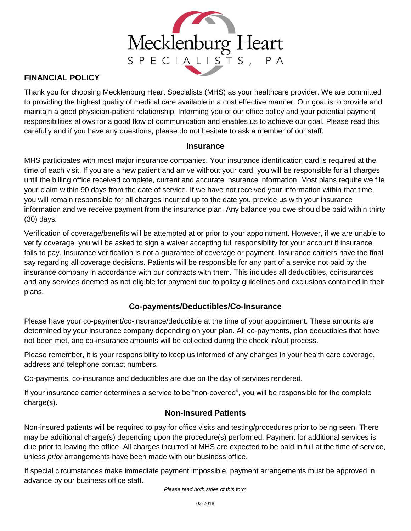

## **FINANCIAL POLICY**

Thank you for choosing Mecklenburg Heart Specialists (MHS) as your healthcare provider. We are committed to providing the highest quality of medical care available in a cost effective manner. Our goal is to provide and maintain a good physician-patient relationship. Informing you of our office policy and your potential payment responsibilities allows for a good flow of communication and enables us to achieve our goal. Please read this carefully and if you have any questions, please do not hesitate to ask a member of our staff.

### **Insurance**

MHS participates with most major insurance companies. Your insurance identification card is required at the time of each visit. If you are a new patient and arrive without your card, you will be responsible for all charges until the billing office received complete, current and accurate insurance information. Most plans require we file your claim within 90 days from the date of service. If we have not received your information within that time, you will remain responsible for all charges incurred up to the date you provide us with your insurance information and we receive payment from the insurance plan. Any balance you owe should be paid within thirty (30) days.

Verification of coverage/benefits will be attempted at or prior to your appointment. However, if we are unable to verify coverage, you will be asked to sign a waiver accepting full responsibility for your account if insurance fails to pay. Insurance verification is not a guarantee of coverage or payment. Insurance carriers have the final say regarding all coverage decisions. Patients will be responsible for any part of a service not paid by the insurance company in accordance with our contracts with them. This includes all deductibles, coinsurances and any services deemed as not eligible for payment due to policy guidelines and exclusions contained in their plans.

# **Co-payments/Deductibles/Co-Insurance**

Please have your co-payment/co-insurance/deductible at the time of your appointment. These amounts are determined by your insurance company depending on your plan. All co-payments, plan deductibles that have not been met, and co-insurance amounts will be collected during the check in/out process.

Please remember, it is your responsibility to keep us informed of any changes in your health care coverage, address and telephone contact numbers.

Co-payments, co-insurance and deductibles are due on the day of services rendered.

If your insurance carrier determines a service to be "non-covered", you will be responsible for the complete charge(s).

## **Non-Insured Patients**

Non-insured patients will be required to pay for office visits and testing/procedures prior to being seen. There may be additional charge(s) depending upon the procedure(s) performed. Payment for additional services is due prior to leaving the office. All charges incurred at MHS are expected to be paid in full at the time of service, unless *prior* arrangements have been made with our business office.

If special circumstances make immediate payment impossible, payment arrangements must be approved in advance by our business office staff.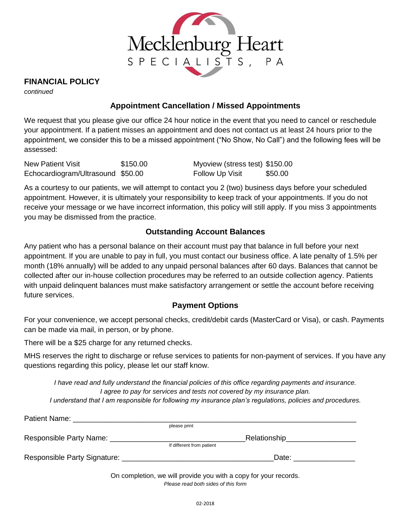

## **FINANCIAL POLICY**

*continued*

## **Appointment Cancellation / Missed Appointments**

We request that you please give our office 24 hour notice in the event that you need to cancel or reschedule your appointment. If a patient misses an appointment and does not contact us at least 24 hours prior to the appointment, we consider this to be a missed appointment ("No Show, No Call") and the following fees will be assessed:

New Patient Visit \$150.00 Myoview (stress test) \$150.00 Echocardiogram/Ultrasound \$50.00 Follow Up Visit \$50.00

As a courtesy to our patients, we will attempt to contact you 2 (two) business days before your scheduled appointment. However, it is ultimately your responsibility to keep track of your appointments. If you do not receive your message or we have incorrect information, this policy will still apply. If you miss 3 appointments you may be dismissed from the practice.

## **Outstanding Account Balances**

Any patient who has a personal balance on their account must pay that balance in full before your next appointment. If you are unable to pay in full, you must contact our business office. A late penalty of 1.5% per month (18% annually) will be added to any unpaid personal balances after 60 days. Balances that cannot be collected after our in-house collection procedures may be referred to an outside collection agency. Patients with unpaid delinquent balances must make satisfactory arrangement or settle the account before receiving future services.

## **Payment Options**

For your convenience, we accept personal checks, credit/debit cards (MasterCard or Visa), or cash. Payments can be made via mail, in person, or by phone.

There will be a \$25 charge for any returned checks.

MHS reserves the right to discharge or refuse services to patients for non-payment of services. If you have any questions regarding this policy, please let our staff know.

*I have read and fully understand the financial policies of this office regarding payments and insurance. I agree to pay for services and tests not covered by my insurance plan.* 

*I understand that I am responsible for following my insurance plan's regulations, policies and procedures.*

|                                | please print                   |  |
|--------------------------------|--------------------------------|--|
| Responsible Party Name: ______ | _Relationship_________________ |  |
|                                | If different from patient      |  |
| Responsible Party Signature: _ | Date:                          |  |